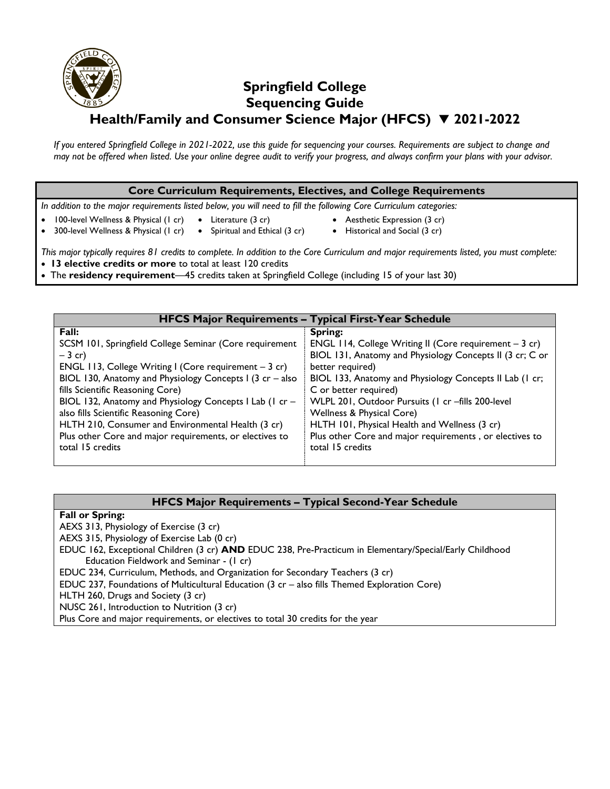# **Springfield College Sequencing Guide Health/Family and Consumer Science Major (HFCS) 2021-2022**

*If you entered Springfield College in 2021-2022, use this guide for sequencing your courses. Requirements are subject to change and may not be offered when listed. Use your online degree audit to verify your progress, and always confirm your plans with your advisor.* 

## **Core Curriculum Requirements, Electives, and College Requirements**

*In addition to the major requirements listed below, you will need to fill the following Core Curriculum categories:*

- Literature (3 cr)
- Aesthetic Expression (3 cr)
- 100-level Wellness & Physical (1 cr) 300-level Wellness & Physical (1 cr)
- Spiritual and Ethical (3 cr) • Historical and Social (3 cr)
- *This major typically requires 81 credits to complete. In addition to the Core Curriculum and major requirements listed, you must complete:* **13 elective credits or more** to total at least 120 credits
	- The **residency requirement**—45 credits taken at Springfield College (including 15 of your last 30)

| <b>HFCS Major Requirements - Typical First-Year Schedule</b> |                                                          |
|--------------------------------------------------------------|----------------------------------------------------------|
| Fall:                                                        | Spring:                                                  |
| SCSM 101, Springfield College Seminar (Core requirement      | ENGL 114, College Writing II (Core requirement $-3$ cr)  |
| $-3$ cr)                                                     | BIOL 131, Anatomy and Physiology Concepts II (3 cr; C or |
| ENGL 113, College Writing I (Core requirement $-3$ cr)       | better required)                                         |
| BIOL 130, Anatomy and Physiology Concepts I (3 $cr - also$ ) | BIOL 133, Anatomy and Physiology Concepts II Lab (1 cr;  |
| fills Scientific Reasoning Core)                             | C or better required)                                    |
| BIOL 132, Anatomy and Physiology Concepts I Lab (1 cr -      | WLPL 201, Outdoor Pursuits (1 cr -fills 200-level        |
| also fills Scientific Reasoning Core)                        | Wellness & Physical Core)                                |
| HLTH 210, Consumer and Environmental Health (3 cr)           | HLTH 101, Physical Health and Wellness (3 cr)            |
| Plus other Core and major requirements, or electives to      | Plus other Core and major requirements, or electives to  |
| total 15 credits                                             | total 15 credits                                         |
|                                                              |                                                          |

## **HFCS Major Requirements – Typical Second-Year Schedule**

**Fall or Spring:**

- AEXS 313, Physiology of Exercise (3 cr)
- AEXS 315, Physiology of Exercise Lab (0 cr)
- EDUC 162, Exceptional Children (3 cr) **AND** EDUC 238, Pre-Practicum in Elementary/Special/Early Childhood Education Fieldwork and Seminar - (1 cr)
- EDUC 234, Curriculum, Methods, and Organization for Secondary Teachers (3 cr)
- EDUC 237, Foundations of Multicultural Education (3 cr also fills Themed Exploration Core)
- HLTH 260, Drugs and Society (3 cr)
- NUSC 261, Introduction to Nutrition (3 cr)

Plus Core and major requirements, or electives to total 30 credits for the year